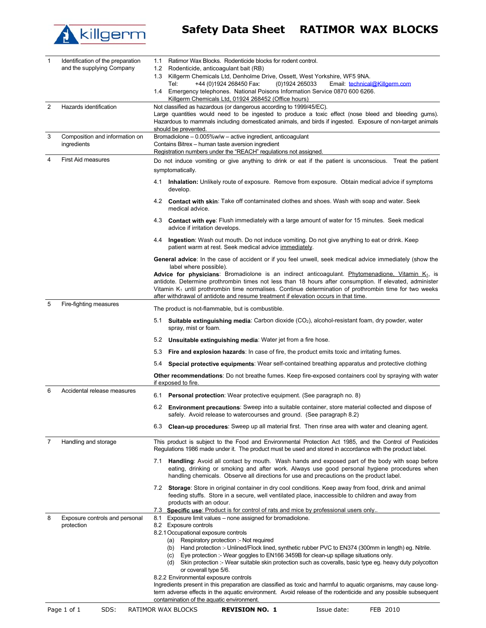

## **Killgerm** Safety Data Sheet RATIMOR WAX BLOCKS

| 1              | Identification of the preparation | Ratimor Wax Blocks. Rodenticide blocks for rodent control.<br>1.1                                                                                                                                                                                                                                           |
|----------------|-----------------------------------|-------------------------------------------------------------------------------------------------------------------------------------------------------------------------------------------------------------------------------------------------------------------------------------------------------------|
|                | and the supplying Company         | 1.2<br>Rodenticide, anticoagulant bait (RB)<br>1.3 Killgerm Chemicals Ltd, Denholme Drive, Ossett, West Yorkshire, WF5 9NA.                                                                                                                                                                                 |
|                |                                   | +44 (0)1924 268450 Fax:<br>(0)1924 265033<br>Email: technical@Killgerm.com<br>Tel:                                                                                                                                                                                                                          |
|                |                                   | 1.4 Emergency telephones. National Poisons Information Service 0870 600 6266.<br>Killgerm Chemicals Ltd, 01924 268452 (Office hours)                                                                                                                                                                        |
| $\overline{2}$ | Hazards identification            | Not classified as hazardous (or dangerous according to 1999/45/EC).<br>Large quantities would need to be ingested to produce a toxic effect (nose bleed and bleeding gums).                                                                                                                                 |
|                |                                   | Hazardous to mammals including domesticated animals, and birds if ingested. Exposure of non-target animals<br>should be prevented.                                                                                                                                                                          |
| 3              | Composition and information on    | Bromadiolone - 0.005%w/w - active ingredient, anticoagulant                                                                                                                                                                                                                                                 |
|                | ingredients                       | Contains Bitrex - human taste aversion ingredient<br>Registration numbers under the "REACH" regulations not assigned.                                                                                                                                                                                       |
| 4              | <b>First Aid measures</b>         | Do not induce vomiting or give anything to drink or eat if the patient is unconscious. Treat the patient                                                                                                                                                                                                    |
|                |                                   | symptomatically.                                                                                                                                                                                                                                                                                            |
|                |                                   | 4.1 Inhalation: Unlikely route of exposure. Remove from exposure. Obtain medical advice if symptoms<br>develop.                                                                                                                                                                                             |
|                |                                   | 4.2 <b>Contact with skin</b> : Take off contaminated clothes and shoes. Wash with soap and water. Seek<br>medical advice.                                                                                                                                                                                   |
|                |                                   | 4.3 <b>Contact with eye</b> : Flush immediately with a large amount of water for 15 minutes. Seek medical<br>advice if irritation develops.                                                                                                                                                                 |
|                |                                   | Ingestion: Wash out mouth. Do not induce vomiting. Do not give anything to eat or drink. Keep<br>4.4<br>patient warm at rest. Seek medical advice immediately.                                                                                                                                              |
|                |                                   | General advice: In the case of accident or if you feel unwell, seek medical advice immediately (show the                                                                                                                                                                                                    |
|                |                                   | label where possible).<br>Advice for physicians: Bromadiolone is an indirect anticoagulant. Phytomenadione, Vitamin K <sub>1</sub> , is                                                                                                                                                                     |
|                |                                   | antidote. Determine prothrombin times not less than 18 hours after consumption. If elevated, administer<br>Vitamin $K_1$ until prothrombin time normalises. Continue determination of prothrombin time for two weeks<br>after withdrawal of antidote and resume treatment if elevation occurs in that time. |
| 5              | Fire-fighting measures            | The product is not-flammable, but is combustible.                                                                                                                                                                                                                                                           |
|                |                                   | <b>Suitable extinguishing media:</b> Carbon dioxide $(CO2)$ , alcohol-resistant foam, dry powder, water<br>5.1<br>spray, mist or foam.                                                                                                                                                                      |
|                |                                   | 5.2 Unsuitable extinguishing media: Water jet from a fire hose.                                                                                                                                                                                                                                             |
|                |                                   | Fire and explosion hazards: In case of fire, the product emits toxic and irritating fumes.<br>5.3                                                                                                                                                                                                           |
|                |                                   | Special protective equipments: Wear self-contained breathing apparatus and protective clothing<br>5.4                                                                                                                                                                                                       |
|                |                                   | Other recommendations: Do not breathe fumes. Keep fire-exposed containers cool by spraying with water<br>if exposed to fire.                                                                                                                                                                                |
| 6              | Accidental release measures       | 6.1 Personal protection: Wear protective equipment. (See paragraph no. 8)                                                                                                                                                                                                                                   |
|                |                                   | 6.2 <b>Environment precautions</b> : Sweep into a suitable container, store material collected and dispose of<br>safely. Avoid release to watercourses and ground. (See paragraph 8.2)                                                                                                                      |
|                |                                   | 6.3 <b>Clean-up procedures</b> : Sweep up all material first. Then rinse area with water and cleaning agent.                                                                                                                                                                                                |
| 7              | Handling and storage              | This product is subject to the Food and Environmental Protection Act 1985, and the Control of Pesticides<br>Regulations 1986 made under it. The product must be used and stored in accordance with the product label.                                                                                       |
|                |                                   | 7.1 <b>Handling:</b> Avoid all contact by mouth. Wash hands and exposed part of the body with soap before<br>eating, drinking or smoking and after work. Always use good personal hygiene procedures when<br>handling chemicals. Observe all directions for use and precautions on the product label.       |
|                |                                   | 7.2 Storage: Store in original container in dry cool conditions. Keep away from food, drink and animal<br>feeding stuffs. Store in a secure, well ventilated place, inaccessible to children and away from<br>products with an odour.                                                                       |
| 8              | Exposure controls and personal    | 7.3 Specific use: Product is for control of rats and mice by professional users only<br>8.1 Exposure limit values - none assigned for bromadiolone.                                                                                                                                                         |
|                | protection                        | 8.2 Exposure controls                                                                                                                                                                                                                                                                                       |
|                |                                   | 8.2.1 Occupational exposure controls                                                                                                                                                                                                                                                                        |
|                |                                   | (a) Respiratory protection :- Not required<br>(b) Hand protection :- Unlined/Flock lined, synthetic rubber PVC to EN374 (300mm in length) eg. Nitrile.                                                                                                                                                      |
|                |                                   | (c) Eye protection :- Wear goggles to EN166 3459B for clean-up spillage situations only.                                                                                                                                                                                                                    |
|                |                                   | (d) Skin protection :- Wear suitable skin protection such as coveralls, basic type eg. heavy duty polycotton<br>or coverall type 5/6.                                                                                                                                                                       |
|                |                                   | 8.2.2 Environmental exposure controls                                                                                                                                                                                                                                                                       |
|                |                                   | Ingredients present in this preparation are classified as toxic and harmful to aquatic organisms, may cause long-                                                                                                                                                                                           |
|                |                                   | term adverse effects in the aquatic environment. Avoid release of the rodenticide and any possible subsequent<br>contamination of the aquatic environment.                                                                                                                                                  |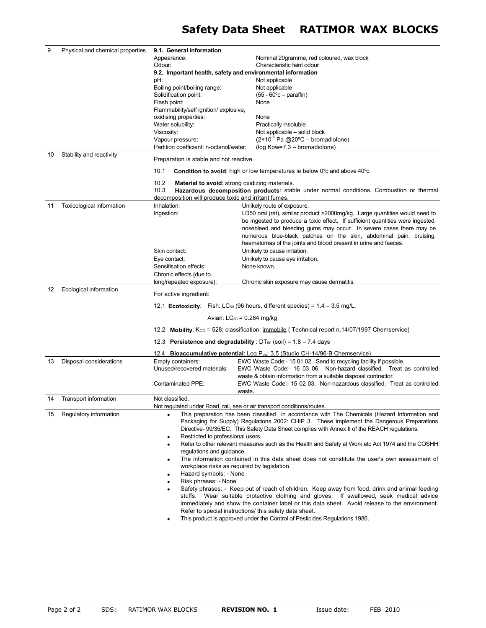| 9  | Physical and chemical properties | 9.1. General information                                    |                                                                                                                                                                                                                                                                                            |  |
|----|----------------------------------|-------------------------------------------------------------|--------------------------------------------------------------------------------------------------------------------------------------------------------------------------------------------------------------------------------------------------------------------------------------------|--|
|    |                                  | Appearance:                                                 | Nominal 20gramme, red coloured, wax block                                                                                                                                                                                                                                                  |  |
|    |                                  | Odour:                                                      | Characteristic faint odour                                                                                                                                                                                                                                                                 |  |
|    |                                  | 9.2. Important health, safety and environmental information |                                                                                                                                                                                                                                                                                            |  |
|    |                                  | pH:                                                         | Not applicable                                                                                                                                                                                                                                                                             |  |
|    |                                  | Boiling point/boiling range:                                | Not applicable                                                                                                                                                                                                                                                                             |  |
|    |                                  | Solidification point:                                       | $(55 - 60^{\circ}c -$ paraffin)                                                                                                                                                                                                                                                            |  |
|    |                                  | Flash point:                                                | None                                                                                                                                                                                                                                                                                       |  |
|    |                                  | Flammability/self ignition/ explosive,                      |                                                                                                                                                                                                                                                                                            |  |
|    |                                  | oxidising properties:                                       | None                                                                                                                                                                                                                                                                                       |  |
|    |                                  | Water solubility:                                           | Practically insoluble<br>Not applicable - solid block                                                                                                                                                                                                                                      |  |
|    |                                  | Viscosity:<br>Vapour pressure:                              | $(2 \times 10^{-6} \text{ Pa } @20^{\circ} \text{C} - \text{bromadiolone})$                                                                                                                                                                                                                |  |
|    |                                  | Partition coefficient: n-octanol/water:                     | (log Kow=7.3 - bromadiolone)                                                                                                                                                                                                                                                               |  |
| 10 | Stability and reactivity         | Preparation is stable and not reactive.                     |                                                                                                                                                                                                                                                                                            |  |
|    |                                  | 10.1                                                        | <b>Condition to avoid:</b> high or low temperatures ie below 0 <sup>o</sup> c and above 40 <sup>o</sup> c.                                                                                                                                                                                 |  |
|    |                                  | 10.2                                                        |                                                                                                                                                                                                                                                                                            |  |
|    |                                  | 10.3                                                        | <b>Material to avoid:</b> strong oxidizing materials.<br>Hazardous decomposition products: stable under normal conditions. Combustion or thermal                                                                                                                                           |  |
|    |                                  | decomposition will produce toxic and irritant fumes.        |                                                                                                                                                                                                                                                                                            |  |
| 11 | Toxicological information        | Inhalation:                                                 | Unlikely route of exposure.                                                                                                                                                                                                                                                                |  |
|    |                                  | Ingestion:                                                  | LD50 oral (rat), similar product >2000mg/kg. Large quantities would need to                                                                                                                                                                                                                |  |
|    |                                  |                                                             | be ingested to produce a toxic effect. If sufficient quantities were ingested,                                                                                                                                                                                                             |  |
|    |                                  |                                                             | nosebleed and bleeding gums may occur. In severe cases there may be                                                                                                                                                                                                                        |  |
|    |                                  |                                                             | numerous blue-black patches on the skin, abdominal pain, bruising,                                                                                                                                                                                                                         |  |
|    |                                  |                                                             | haematomas of the joints and blood present in urine and faeces.                                                                                                                                                                                                                            |  |
|    |                                  | Skin contact:                                               | Unlikely to cause irritation.                                                                                                                                                                                                                                                              |  |
|    |                                  | Eye contact:                                                | Unlikely to cause eye irritation.                                                                                                                                                                                                                                                          |  |
|    |                                  | Sensitisation effects:                                      | None known.                                                                                                                                                                                                                                                                                |  |
|    |                                  | Chronic effects (due to                                     |                                                                                                                                                                                                                                                                                            |  |
|    |                                  | long/repeated exposure):                                    | Chronic skin exposure may cause dermatitis                                                                                                                                                                                                                                                 |  |
| 12 | Ecological information           | For active ingredient:                                      |                                                                                                                                                                                                                                                                                            |  |
|    |                                  |                                                             | 12.1 <b>Ecotoxicity</b> : Fish: $LC_{50}$ (96 hours, different species) = 1.4 - 3.5 mg/L.                                                                                                                                                                                                  |  |
|    |                                  |                                                             | Avian: $LC_{50} = 0.264$ mg/kg                                                                                                                                                                                                                                                             |  |
|    |                                  |                                                             | 12.2 <b>Mobility</b> : $K_{OC}$ = 528; classification: immobile (Technical report n.14/07/1997 Chemservice)                                                                                                                                                                                |  |
|    |                                  |                                                             | 12.3 Persistence and degradability : $DT_{50}$ (soil) = 1.8 - 7.4 days                                                                                                                                                                                                                     |  |
|    |                                  |                                                             | 12.4 <b>Bioaccumulative potential:</b> Log $P_{ow}$ : 3.5 (Studio CH-14/96-B Chemservice)                                                                                                                                                                                                  |  |
| 13 | Disposal considerations          | Empty containers:                                           | EWC Waste Code:-15 01 02. Send to recycling facility if possible.                                                                                                                                                                                                                          |  |
|    |                                  | Unused/recovered materials:                                 | EWC Waste Code:- 16 03 06. Non-hazard classified. Treat as controlled                                                                                                                                                                                                                      |  |
|    |                                  |                                                             | waste & obtain information from a suitable disposal contractor.                                                                                                                                                                                                                            |  |
|    |                                  | Contaminated PPE:                                           | EWC Waste Code:- 15 02 03. Non-hazardous classified. Treat as controlled<br>waste.                                                                                                                                                                                                         |  |
| 14 | Transport information            | Not classified.                                             |                                                                                                                                                                                                                                                                                            |  |
|    |                                  |                                                             | Not regulated under Road, rail, sea or air transport conditions/routes.                                                                                                                                                                                                                    |  |
| 15 | Regulatory information           | $\bullet$                                                   | This preparation has been classified in accordance with The Chemicals (Hazard Information and<br>Packaging for Supply) Regulations 2002: CHIP 3. These implement the Dangerous Preparations<br>Directive-99/35/EC. This Safety Data Sheet complies with Annex II of the REACH regulations. |  |
|    |                                  | Restricted to professional users.<br>$\bullet$              |                                                                                                                                                                                                                                                                                            |  |
|    |                                  | $\bullet$                                                   | Refer to other relevant measures such as the Health and Safety at Work etc Act 1974 and the COSHH                                                                                                                                                                                          |  |
|    |                                  | regulations and guidance.                                   | The information contained in this data sheet does not constitute the user's own assessment of                                                                                                                                                                                              |  |
|    |                                  | $\bullet$                                                   | workplace risks as required by legislation.                                                                                                                                                                                                                                                |  |
|    |                                  | Hazard symbols: - None<br>$\bullet$                         |                                                                                                                                                                                                                                                                                            |  |
|    |                                  | Risk phrases: - None<br>$\bullet$                           |                                                                                                                                                                                                                                                                                            |  |
|    |                                  |                                                             | Safety phrases: - Keep out of reach of children. Keep away from food, drink and animal feeding                                                                                                                                                                                             |  |
|    |                                  |                                                             | stuffs. Wear suitable protective clothing and gloves. If swallowed, seek medical advice                                                                                                                                                                                                    |  |
|    |                                  |                                                             | immediately and show the container label or this data sheet. Avoid release to the environment.                                                                                                                                                                                             |  |
|    |                                  |                                                             | Refer to special instructions/ this safety data sheet.                                                                                                                                                                                                                                     |  |
|    |                                  |                                                             |                                                                                                                                                                                                                                                                                            |  |
|    |                                  |                                                             | This product is approved under the Control of Pesticides Regulations 1986.                                                                                                                                                                                                                 |  |